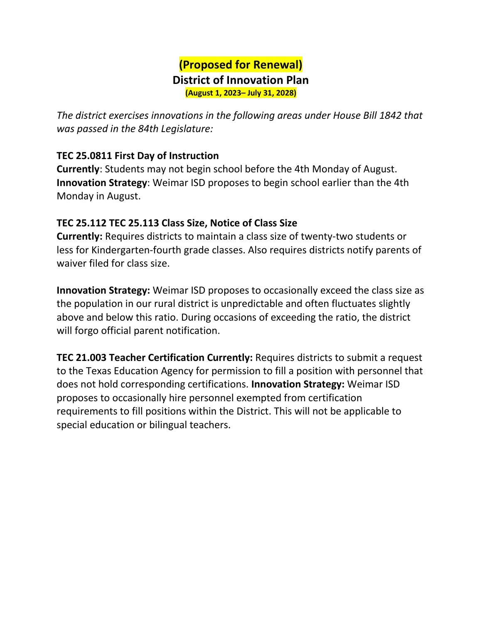## **(Proposed for Renewal) District of Innovation Plan (August 1, 2023– July 31, 2028)**

*The district exercises innovations in the following areas under House Bill 1842 that was passed in the 84th Legislature:* 

## **TEC 25.0811 First Day of Instruction**

**Currently**: Students may not begin school before the 4th Monday of August. **Innovation Strategy**: Weimar ISD proposes to begin school earlier than the 4th Monday in August.

## **TEC 25.112 TEC 25.113 Class Size, Notice of Class Size**

**Currently:** Requires districts to maintain a class size of twenty-two students or less for Kindergarten-fourth grade classes. Also requires districts notify parents of waiver filed for class size.

**Innovation Strategy:** Weimar ISD proposes to occasionally exceed the class size as the population in our rural district is unpredictable and often fluctuates slightly above and below this ratio. During occasions of exceeding the ratio, the district will forgo official parent notification.

**TEC 21.003 Teacher Certification Currently:** Requires districts to submit a request to the Texas Education Agency for permission to fill a position with personnel that does not hold corresponding certifications. **Innovation Strategy:** Weimar ISD proposes to occasionally hire personnel exempted from certification requirements to fill positions within the District. This will not be applicable to special education or bilingual teachers.